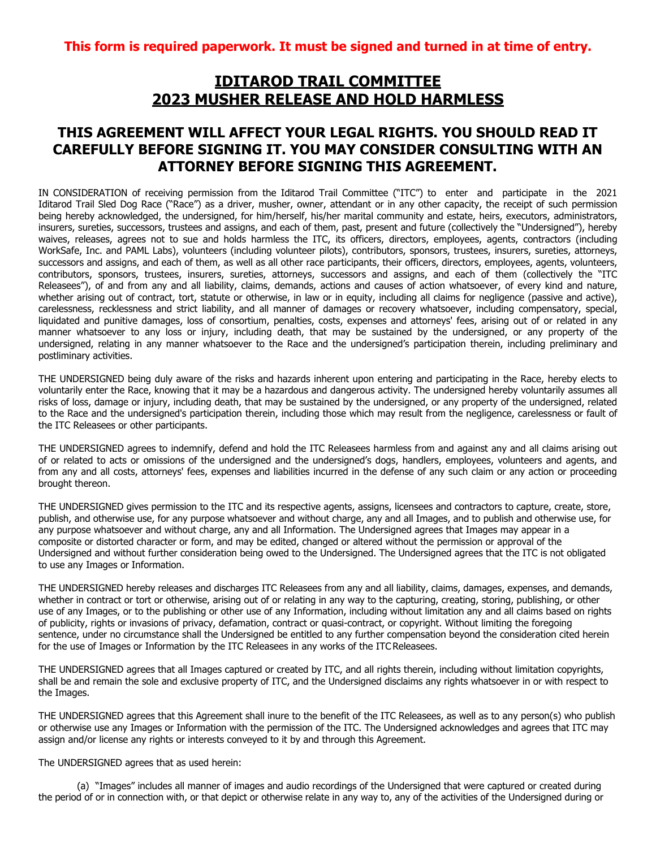## **IDITAROD TRAIL COMMITTEE 2023 MUSHER RELEASE AND HOLD HARMLESS**

## **THIS AGREEMENT WILL AFFECT YOUR LEGAL RIGHTS. YOU SHOULD READ IT CAREFULLY BEFORE SIGNING IT. YOU MAY CONSIDER CONSULTING WITH AN ATTORNEY BEFORE SIGNING THIS AGREEMENT.**

IN CONSIDERATION of receiving permission from the Iditarod Trail Committee ("ITC") to enter and participate in the 2021 Iditarod Trail Sled Dog Race ("Race") as a driver, musher, owner, attendant or in any other capacity, the receipt of such permission being hereby acknowledged, the undersigned, for him/herself, his/her marital community and estate, heirs, executors, administrators, insurers, sureties, successors, trustees and assigns, and each of them, past, present and future (collectively the "Undersigned"), hereby waives, releases, agrees not to sue and holds harmless the ITC, its officers, directors, employees, agents, contractors (including WorkSafe, Inc. and PAML Labs), volunteers (including volunteer pilots), contributors, sponsors, trustees, insurers, sureties, attorneys, successors and assigns, and each of them, as well as all other race participants, their officers, directors, employees, agents, volunteers, contributors, sponsors, trustees, insurers, sureties, attorneys, successors and assigns, and each of them (collectively the "ITC Releasees"), of and from any and all liability, claims, demands, actions and causes of action whatsoever, of every kind and nature, whether arising out of contract, tort, statute or otherwise, in law or in equity, including all claims for negligence (passive and active), carelessness, recklessness and strict liability, and all manner of damages or recovery whatsoever, including compensatory, special, liquidated and punitive damages, loss of consortium, penalties, costs, expenses and attorneys' fees, arising out of or related in any manner whatsoever to any loss or injury, including death, that may be sustained by the undersigned, or any property of the undersigned, relating in any manner whatsoever to the Race and the undersigned's participation therein, including preliminary and postliminary activities.

THE UNDERSIGNED being duly aware of the risks and hazards inherent upon entering and participating in the Race, hereby elects to voluntarily enter the Race, knowing that it may be a hazardous and dangerous activity. The undersigned hereby voluntarily assumes all risks of loss, damage or injury, including death, that may be sustained by the undersigned, or any property of the undersigned, related to the Race and the undersigned's participation therein, including those which may result from the negligence, carelessness or fault of the ITC Releasees or other participants.

THE UNDERSIGNED agrees to indemnify, defend and hold the ITC Releasees harmless from and against any and all claims arising out of or related to acts or omissions of the undersigned and the undersigned's dogs, handlers, employees, volunteers and agents, and from any and all costs, attorneys' fees, expenses and liabilities incurred in the defense of any such claim or any action or proceeding brought thereon.

THE UNDERSIGNED gives permission to the ITC and its respective agents, assigns, licensees and contractors to capture, create, store, publish, and otherwise use, for any purpose whatsoever and without charge, any and all Images, and to publish and otherwise use, for any purpose whatsoever and without charge, any and all Information. The Undersigned agrees that Images may appear in a composite or distorted character or form, and may be edited, changed or altered without the permission or approval of the Undersigned and without further consideration being owed to the Undersigned. The Undersigned agrees that the ITC is not obligated to use any Images or Information.

THE UNDERSIGNED hereby releases and discharges ITC Releasees from any and all liability, claims, damages, expenses, and demands, whether in contract or tort or otherwise, arising out of or relating in any way to the capturing, creating, storing, publishing, or other use of any Images, or to the publishing or other use of any Information, including without limitation any and all claims based on rights of publicity, rights or invasions of privacy, defamation, contract or quasi-contract, or copyright. Without limiting the foregoing sentence, under no circumstance shall the Undersigned be entitled to any further compensation beyond the consideration cited herein for the use of Images or Information by the ITC Releasees in any works of the ITC Releasees.

THE UNDERSIGNED agrees that all Images captured or created by ITC, and all rights therein, including without limitation copyrights, shall be and remain the sole and exclusive property of ITC, and the Undersigned disclaims any rights whatsoever in or with respect to the Images.

THE UNDERSIGNED agrees that this Agreement shall inure to the benefit of the ITC Releasees, as well as to any person(s) who publish or otherwise use any Images or Information with the permission of the ITC. The Undersigned acknowledges and agrees that ITC may assign and/or license any rights or interests conveyed to it by and through this Agreement.

The UNDERSIGNED agrees that as used herein:

(a) "Images" includes all manner of images and audio recordings of the Undersigned that were captured or created during the period of or in connection with, or that depict or otherwise relate in any way to, any of the activities of the Undersigned during or